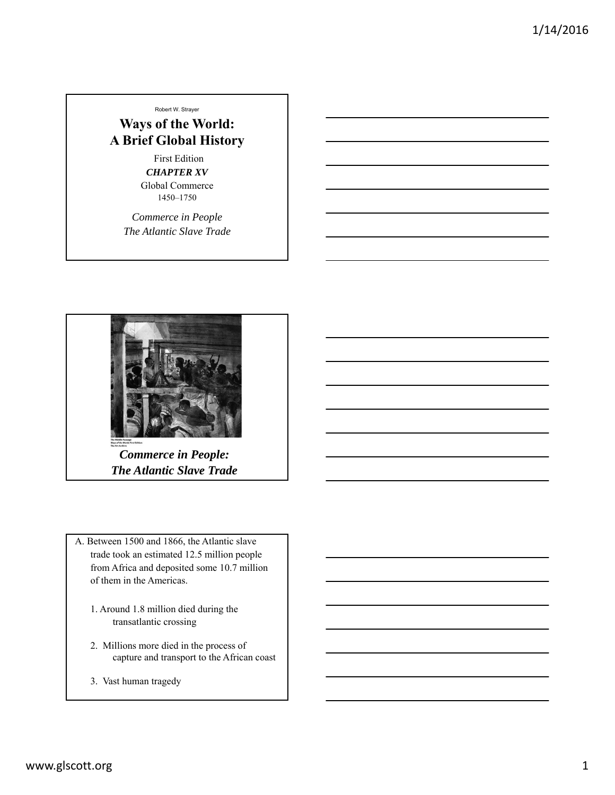Robert W. Strayer

**Ways of the World: A Brief Global History**

> First Edition *CHAPTER XV* Global Commerce 1450–1750

*Commerce in People The Atlantic Slave Trade*



*Commerce in People: The Atlantic Slave Trade*

A. Between 1500 and 1866, the Atlantic slave trade took an estimated 12.5 million people from Africa and deposited some 10.7 million of them in the Americas.

- 1. Around 1.8 million died during the transatlantic crossing
- 2. Millions more died in the process of capture and transport to the African coast
- 3. Vast human tragedy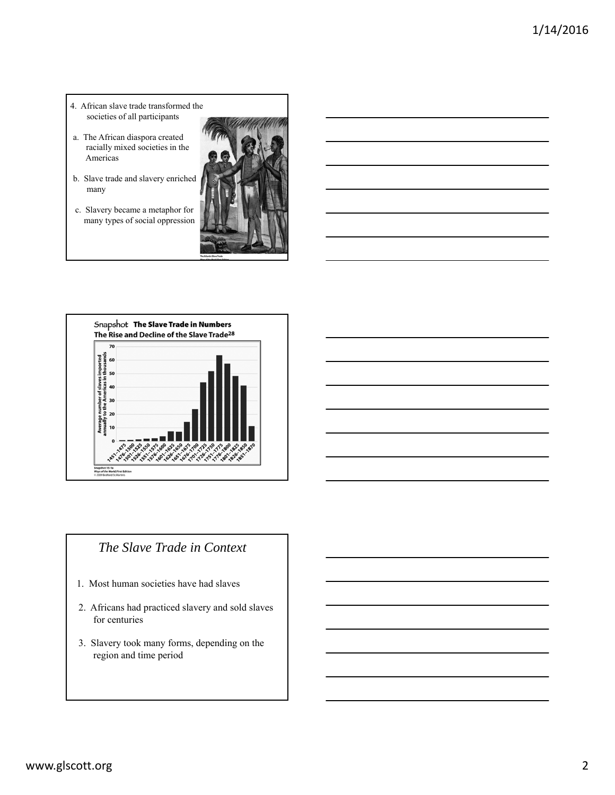- 4. African slave trade transformed the societies of all participants
- a. The African diaspora created racially mixed societies in the Americas
- b. Slave trade and slavery enriched many
- c. Slavery became a metaphor for many types of social oppression





# *The Slave Trade in Context*

- 1. Most human societies have had slaves
- 2. Africans had practiced slavery and sold slaves for centuries
- 3. Slavery took many forms, depending on the region and time period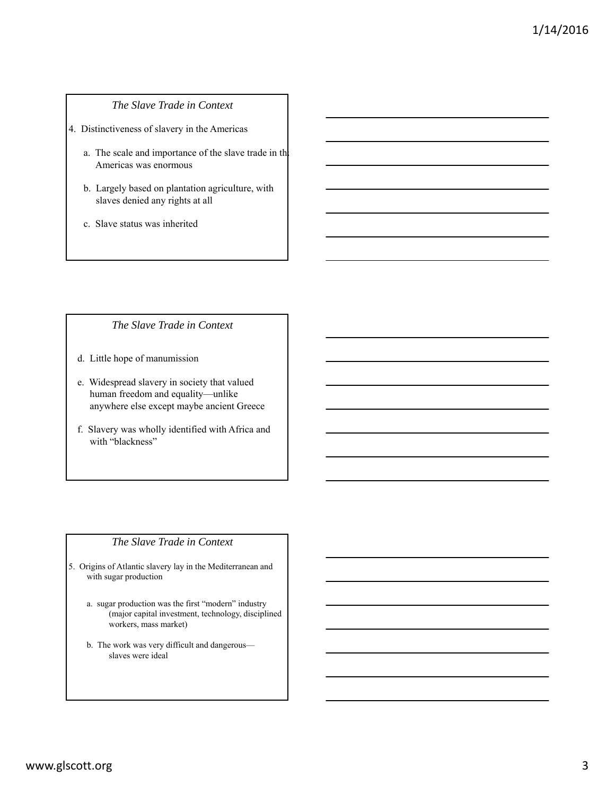## *The Slave Trade in Context*

4. Distinctiveness of slavery in the Americas

- a. The scale and importance of the slave trade in the Americas was enormous
- b. Largely based on plantation agriculture, with slaves denied any rights at all
- c. Slave status was inherited

#### *The Slave Trade in Context*

- d. Little hope of manumission
- e. Widespread slavery in society that valued human freedom and equality—unlike anywhere else except maybe ancient Greece
- f. Slavery was wholly identified with Africa and with "blackness"

### *The Slave Trade in Context*

- 5. Origins of Atlantic slavery lay in the Mediterranean and with sugar production
	- a. sugar production was the first "modern" industry (major capital investment, technology, disciplined workers, mass market)
	- b. The work was very difficult and dangerous slaves were ideal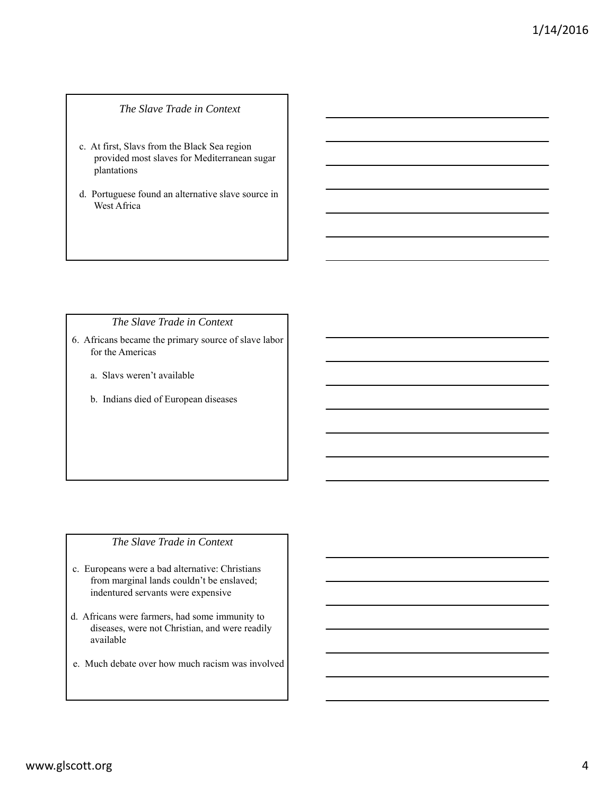#### *The Slave Trade in Context*

- c. At first, Slavs from the Black Sea region provided most slaves for Mediterranean sugar plantations
- d. Portuguese found an alternative slave source in West Africa

## *The Slave Trade in Context*

- 6. Africans became the primary source of slave labor for the Americas
	- a. Slavs weren't available
	- b. Indians died of European diseases

## *The Slave Trade in Context*

- c. Europeans were a bad alternative: Christians from marginal lands couldn't be enslaved; indentured servants were expensive
- d. Africans were farmers, had some immunity to diseases, were not Christian, and were readily available
- e. Much debate over how much racism was involved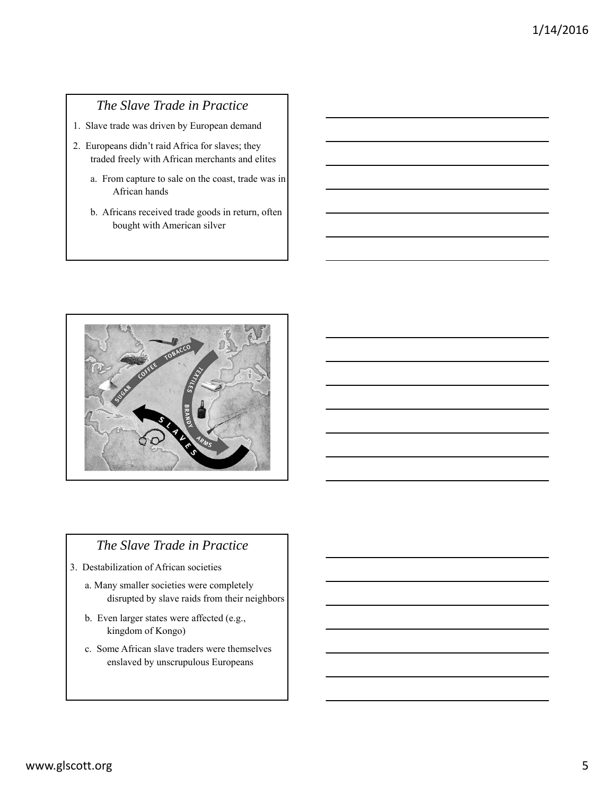## *The Slave Trade in Practice*

- 1. Slave trade was driven by European demand
- 2. Europeans didn't raid Africa for slaves; they traded freely with African merchants and elites
	- a. From capture to sale on the coast, trade was in African hands
	- b. Africans received trade goods in return, often bought with American silver



## *The Slave Trade in Practice*

- 3. Destabilization of African societies
	- a. Many smaller societies were completely disrupted by slave raids from their neighbors
	- b. Even larger states were affected (e.g., kingdom of Kongo)
	- c. Some African slave traders were themselves enslaved by unscrupulous Europeans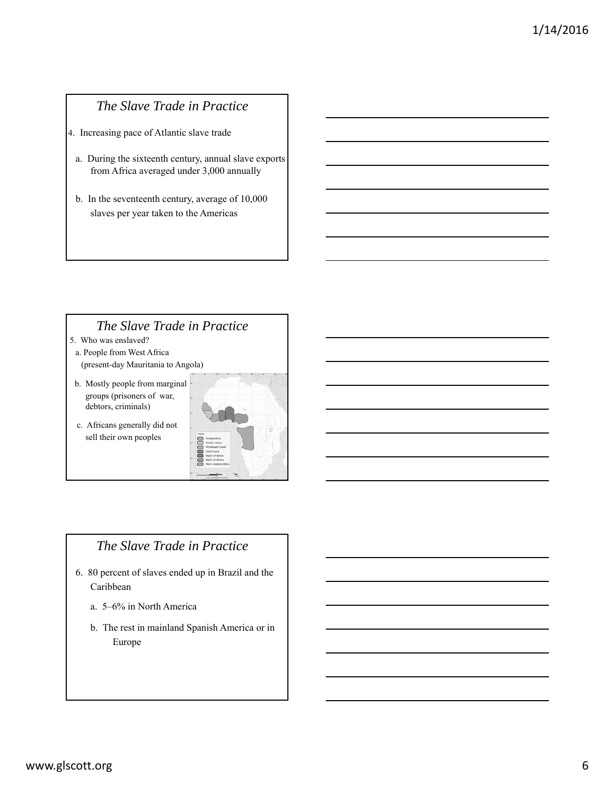# *The Slave Trade in Practice*

4. Increasing pace of Atlantic slave trade

- a. During the sixteenth century, annual slave exports from Africa averaged under 3,000 annually
- b. In the seventeenth century, average of 10,000 slaves per year taken to the Americas

## *The Slave Trade in Practice*

- 5. Who was enslaved?
- a. People from West Africa
- (present-day Mauritania to Angola)
- b. Mostly people from marginal groups (prisoners of war, debtors, criminals)
- c. Africans generally did not sell their own peoples



## *The Slave Trade in Practice*

- 6. 80 percent of slaves ended up in Brazil and the Caribbean
	- a. 5–6% in North America
	- b. The rest in mainland Spanish America or in Europe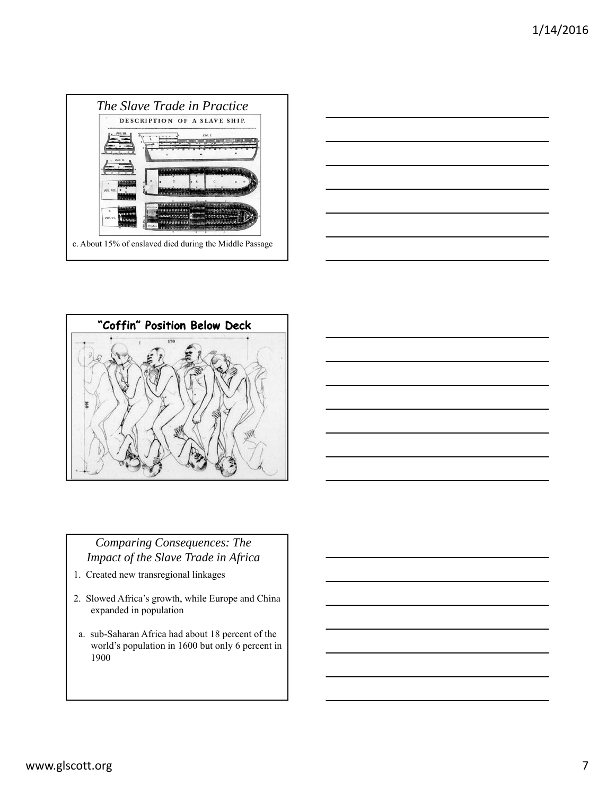





# *Comparing Consequences: The Impact of the Slave Trade in Africa*

- 1. Created new transregional linkages
- 2. Slowed Africa's growth, while Europe and China expanded in population
- a. sub-Saharan Africa had about 18 percent of the world's population in 1600 but only 6 percent in 1900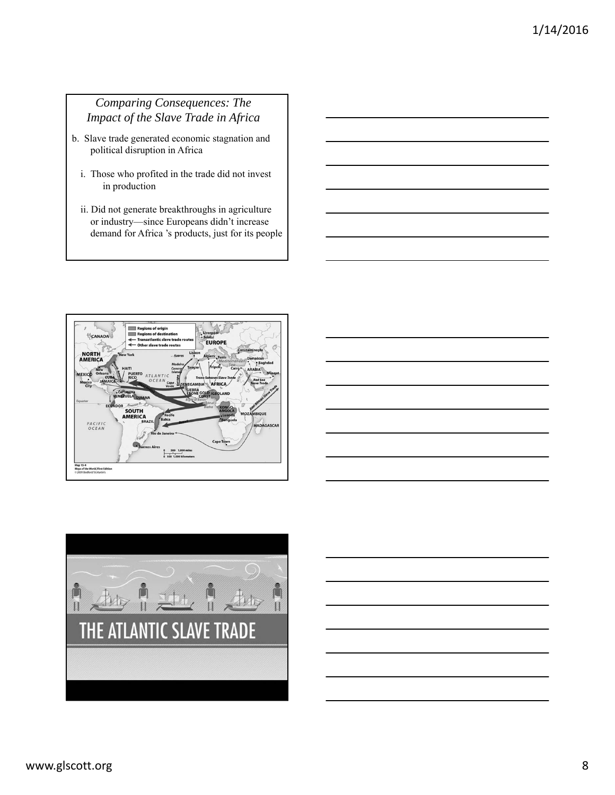## *Comparing Consequences: The Impact of the Slave Trade in Africa*

- b. Slave trade generated economic stagnation and political disruption in Africa
	- i. Those who profited in the trade did not invest in production
	- ii. Did not generate breakthroughs in agriculture or industry—since Europeans didn't increase demand for Africa 's products, just for its people





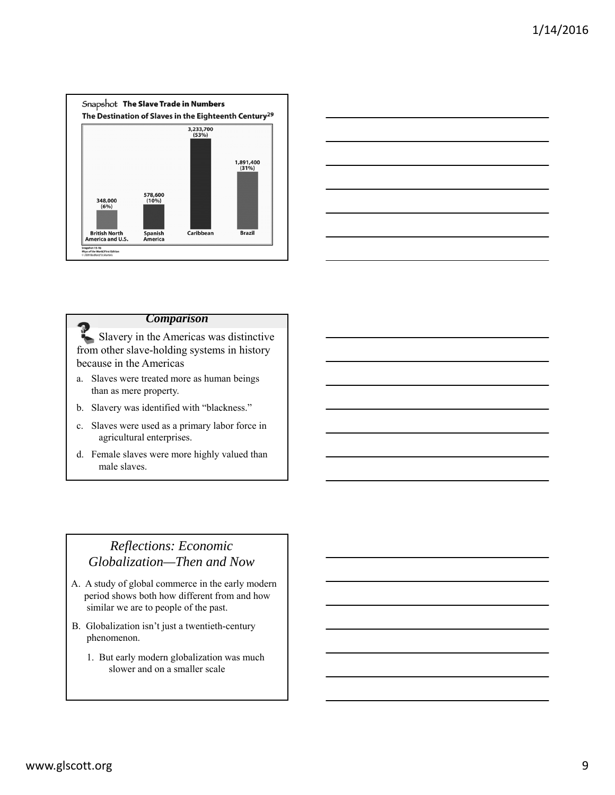



#### *Comparison*

Slavery in the Americas was distinctive from other slave-holding systems in history because in the Americas

- a. Slaves were treated more as human beings than as mere property.
- b. Slavery was identified with "blackness."
- c. Slaves were used as a primary labor force in agricultural enterprises.
- d. Female slaves were more highly valued than male slaves.

# *Reflections: Economic Globalization—Then and Now*

- A. A study of global commerce in the early modern period shows both how different from and how similar we are to people of the past.
- B. Globalization isn't just a twentieth-century phenomenon.
	- 1. But early modern globalization was much slower and on a smaller scale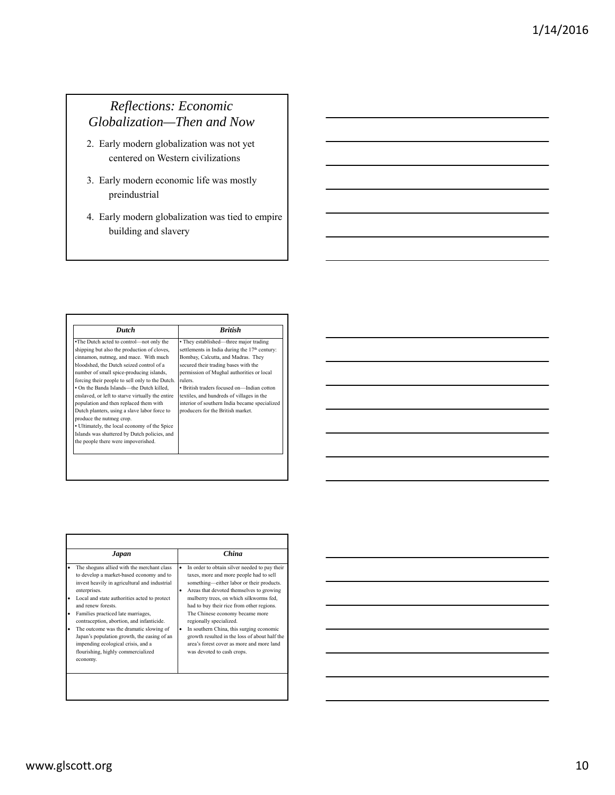# *Reflections: Economic Globalization—Then and Now*

- 2. Early modern globalization was not yet centered on Western civilizations
- 3. Early modern economic life was mostly preindustrial
- 4. Early modern globalization was tied to empire building and slavery

| <b>Dutch</b>                                                                                                                                                                                                                                                                                                                                                                                                                                                                                                                                                                                                                            | <b>Rritish</b>                                                                                                                                                                                                                                                                                                                                                                                                            |
|-----------------------------------------------------------------------------------------------------------------------------------------------------------------------------------------------------------------------------------------------------------------------------------------------------------------------------------------------------------------------------------------------------------------------------------------------------------------------------------------------------------------------------------------------------------------------------------------------------------------------------------------|---------------------------------------------------------------------------------------------------------------------------------------------------------------------------------------------------------------------------------------------------------------------------------------------------------------------------------------------------------------------------------------------------------------------------|
| The Dutch acted to control-not only the<br>shipping but also the production of cloves,<br>cinnamon, nutmeg, and mace. With much<br>bloodshed, the Dutch seized control of a<br>number of small spice-producing islands,<br>forcing their people to sell only to the Dutch.<br>. On the Banda Islands-the Dutch killed,<br>enslaved, or left to starve virtually the entire<br>population and then replaced them with<br>Dutch planters, using a slave labor force to<br>produce the nutmeg crop.<br>• Ultimately, the local economy of the Spice<br>Islands was shattered by Dutch policies, and<br>the people there were impoverished. | • They established—three major trading<br>settlements in India during the 17 <sup>th</sup> century:<br>Bombay, Calcutta, and Madras. They<br>secured their trading bases with the<br>permission of Mughal authorities or local<br>rulers<br>• British traders focused on-Indian cotton<br>textiles, and hundreds of villages in the<br>interior of southern India became specialized<br>producers for the British market. |

| Japan                                                                                                                                                                                                                                                                                                                                                                                                                                                                                              | China                                                                                                                                                                                                                                                                                                                                                                                                                                                                                                                                     |
|----------------------------------------------------------------------------------------------------------------------------------------------------------------------------------------------------------------------------------------------------------------------------------------------------------------------------------------------------------------------------------------------------------------------------------------------------------------------------------------------------|-------------------------------------------------------------------------------------------------------------------------------------------------------------------------------------------------------------------------------------------------------------------------------------------------------------------------------------------------------------------------------------------------------------------------------------------------------------------------------------------------------------------------------------------|
| The shoguns allied with the merchant class<br>to develop a market-based economy and to<br>invest heavily in agricultural and industrial<br>enterprises.<br>Local and state authorities acted to protect<br>and renew forests.<br>Families practiced late marriages,<br>contraception, abortion, and infanticide.<br>The outcome was the dramatic slowing of<br>Japan's population growth, the easing of an<br>impending ecological crisis, and a<br>flourishing, highly commercialized<br>economy. | In order to obtain silver needed to pay their<br>$\bullet$<br>taxes, more and more people had to sell<br>something—either labor or their products.<br>Areas that devoted themselves to growing<br>$\bullet$<br>mulberry trees, on which silkworms fed,<br>had to buy their rice from other regions.<br>The Chinese economy became more<br>regionally specialized.<br>In southern China, this surging economic<br>growth resulted in the loss of about half the<br>area's forest cover as more and more land<br>was devoted to cash crops. |